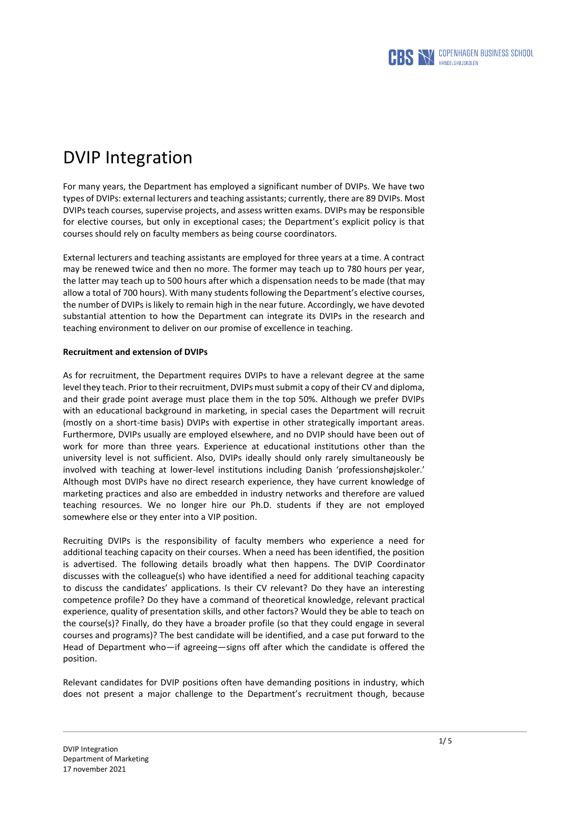# DVIP Integration

For many years, the Department has employed a significant number of DVIPs. We have two types of DVIPs: external lecturers and teaching assistants; currently, there are 89 DVIPs. Most DVIPs teach courses, supervise projects, and assess written exams. DVIPs may be responsible for elective courses, but only in exceptional cases; the Department's explicit policy is that courses should rely on faculty members as being course coordinators.

External lecturers and teaching assistants are employed for three years at a time. A contract may be renewed twice and then no more. The former may teach up to 780 hours per year, the latter may teach up to 500 hours after which a dispensation needs to be made (that may allow a total of 700 hours). With many students following the Department's elective courses, the number of DVIPs is likely to remain high in the near future. Accordingly, we have devoted substantial attention to how the Department can integrate its DVIPs in the research and teaching environment to deliver on our promise of excellence in teaching.

## **Recruitment and extension of DVIPs**

As for recruitment, the Department requires DVIPs to have a relevant degree at the same level they teach. Prior to their recruitment, DVIPs must submit a copy of their CV and diploma, and their grade point average must place them in the top 50%. Although we prefer DVIPs with an educational background in marketing, in special cases the Department will recruit (mostly on a short-time basis) DVIPs with expertise in other strategically important areas. Furthermore, DVIPs usually are employed elsewhere, and no DVIP should have been out of work for more than three years. Experience at educational institutions other than the university level is not sufficient. Also, DVIPs ideally should only rarely simultaneously be involved with teaching at lower-level institutions including Danish 'professionshøjskoler.' Although most DVIPs have no direct research experience, they have current knowledge of marketing practices and also are embedded in industry networks and therefore are valued teaching resources. We no longer hire our Ph.D. students if they are not employed somewhere else or they enter into a VIP position.

Recruiting DVIPs is the responsibility of faculty members who experience a need for additional teaching capacity on their courses. When a need has been identified, the position is advertised. The following details broadly what then happens. The DVIP Coordinator discusses with the colleague(s) who have identified a need for additional teaching capacity to discuss the candidates' applications. Is their CV relevant? Do they have an interesting competence profile? Do they have a command of theoretical knowledge, relevant practical experience, quality of presentation skills, and other factors? Would they be able to teach on the course(s)? Finally, do they have a broader profile (so that they could engage in several courses and programs)? The best candidate will be identified, and a case put forward to the Head of Department who—if agreeing—signs off after which the candidate is offered the position.

Relevant candidates for DVIP positions often have demanding positions in industry, which does not present a major challenge to the Department's recruitment though, because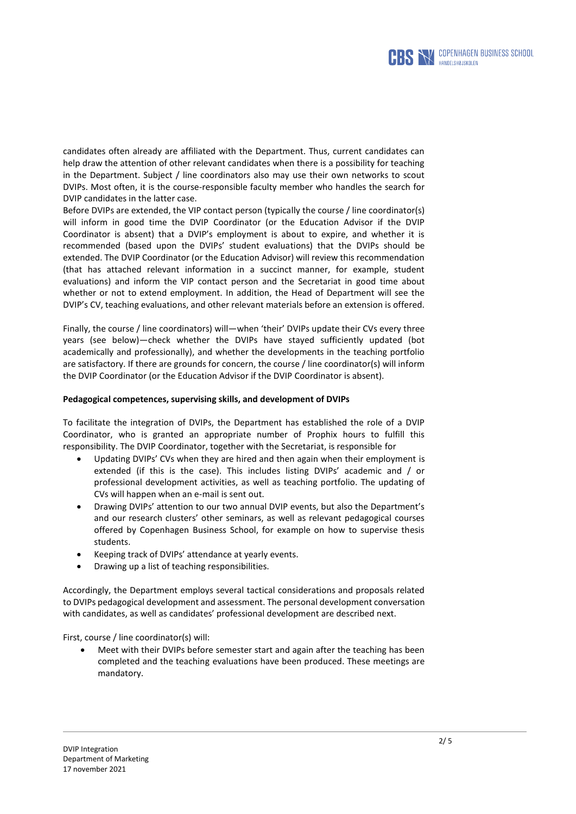

candidates often already are affiliated with the Department. Thus, current candidates can help draw the attention of other relevant candidates when there is a possibility for teaching in the Department. Subject / line coordinators also may use their own networks to scout DVIPs. Most often, it is the course-responsible faculty member who handles the search for DVIP candidates in the latter case.

Before DVIPs are extended, the VIP contact person (typically the course / line coordinator(s) will inform in good time the DVIP Coordinator (or the Education Advisor if the DVIP Coordinator is absent) that a DVIP's employment is about to expire, and whether it is recommended (based upon the DVIPs' student evaluations) that the DVIPs should be extended. The DVIP Coordinator (or the Education Advisor) will review this recommendation (that has attached relevant information in a succinct manner, for example, student evaluations) and inform the VIP contact person and the Secretariat in good time about whether or not to extend employment. In addition, the Head of Department will see the DVIP's CV, teaching evaluations, and other relevant materials before an extension is offered.

Finally, the course / line coordinators) will—when 'their' DVIPs update their CVs every three years (see below)—check whether the DVIPs have stayed sufficiently updated (bot academically and professionally), and whether the developments in the teaching portfolio are satisfactory. If there are grounds for concern, the course / line coordinator(s) will inform the DVIP Coordinator (or the Education Advisor if the DVIP Coordinator is absent).

#### **Pedagogical competences, supervising skills, and development of DVIPs**

To facilitate the integration of DVIPs, the Department has established the role of a DVIP Coordinator, who is granted an appropriate number of Prophix hours to fulfill this responsibility. The DVIP Coordinator, together with the Secretariat, is responsible for

- Updating DVIPs' CVs when they are hired and then again when their employment is extended (if this is the case). This includes listing DVIPs' academic and / or professional development activities, as well as teaching portfolio. The updating of CVs will happen when an e-mail is sent out.
- Drawing DVIPs' attention to our two annual DVIP events, but also the Department's and our research clusters' other seminars, as well as relevant pedagogical courses offered by Copenhagen Business School, for example on how to supervise thesis students.
- Keeping track of DVIPs' attendance at yearly events.
- Drawing up a list of teaching responsibilities.

Accordingly, the Department employs several tactical considerations and proposals related to DVIPs pedagogical development and assessment. The personal development conversation with candidates, as well as candidates' professional development are described next.

First, course / line coordinator(s) will:

 Meet with their DVIPs before semester start and again after the teaching has been completed and the teaching evaluations have been produced. These meetings are mandatory.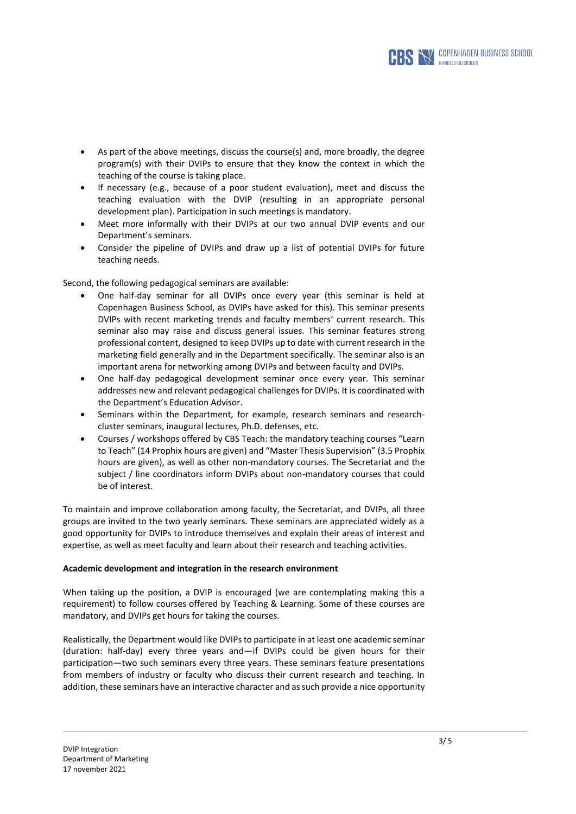

- As part of the above meetings, discuss the course(s) and, more broadly, the degree program(s) with their DVIPs to ensure that they know the context in which the teaching of the course is taking place.
- If necessary (e.g., because of a poor student evaluation), meet and discuss the teaching evaluation with the DVIP (resulting in an appropriate personal development plan). Participation in such meetings is mandatory.
- Meet more informally with their DVIPs at our two annual DVIP events and our Department's seminars.
- Consider the pipeline of DVIPs and draw up a list of potential DVIPs for future teaching needs.

Second, the following pedagogical seminars are available:

- One half-day seminar for all DVIPs once every year (this seminar is held at Copenhagen Business School, as DVIPs have asked for this). This seminar presents DVIPs with recent marketing trends and faculty members' current research. This seminar also may raise and discuss general issues. This seminar features strong professional content, designed to keep DVIPs up to date with current research in the marketing field generally and in the Department specifically. The seminar also is an important arena for networking among DVIPs and between faculty and DVIPs.
- One half-day pedagogical development seminar once every year. This seminar addresses new and relevant pedagogical challenges for DVIPs. It is coordinated with the Department's Education Advisor.
- Seminars within the Department, for example, research seminars and researchcluster seminars, inaugural lectures, Ph.D. defenses, etc.
- Courses / workshops offered by CBS Teach: the mandatory teaching courses "Learn to Teach" (14 Prophix hours are given) and "Master Thesis Supervision" (3.5 Prophix hours are given), as well as other non-mandatory courses. The Secretariat and the subject / line coordinators inform DVIPs about non-mandatory courses that could be of interest.

To maintain and improve collaboration among faculty, the Secretariat, and DVIPs, all three groups are invited to the two yearly seminars. These seminars are appreciated widely as a good opportunity for DVIPs to introduce themselves and explain their areas of interest and expertise, as well as meet faculty and learn about their research and teaching activities.

## **Academic development and integration in the research environment**

When taking up the position, a DVIP is encouraged (we are contemplating making this a requirement) to follow courses offered by Teaching & Learning. Some of these courses are mandatory, and DVIPs get hours for taking the courses.

Realistically, the Department would like DVIPs to participate in at least one academic seminar (duration: half-day) every three years and—if DVIPs could be given hours for their participation—two such seminars every three years. These seminars feature presentations from members of industry or faculty who discuss their current research and teaching. In addition, these seminars have an interactive character and as such provide a nice opportunity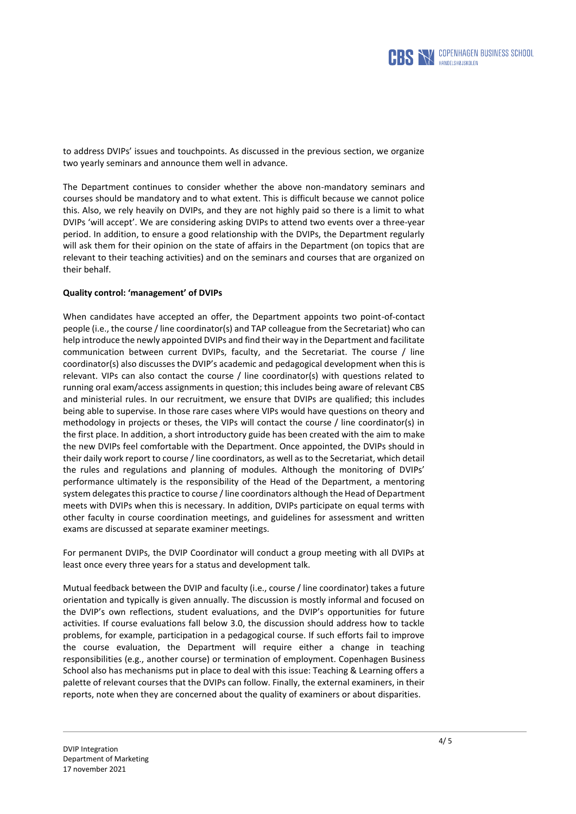

to address DVIPs' issues and touchpoints. As discussed in the previous section, we organize two yearly seminars and announce them well in advance.

The Department continues to consider whether the above non-mandatory seminars and courses should be mandatory and to what extent. This is difficult because we cannot police this. Also, we rely heavily on DVIPs, and they are not highly paid so there is a limit to what DVIPs 'will accept'. We are considering asking DVIPs to attend two events over a three-year period. In addition, to ensure a good relationship with the DVIPs, the Department regularly will ask them for their opinion on the state of affairs in the Department (on topics that are relevant to their teaching activities) and on the seminars and courses that are organized on their behalf.

#### **Quality control: 'management' of DVIPs**

When candidates have accepted an offer, the Department appoints two point-of-contact people (i.e., the course / line coordinator(s) and TAP colleague from the Secretariat) who can help introduce the newly appointed DVIPs and find their way in the Department and facilitate communication between current DVIPs, faculty, and the Secretariat. The course / line coordinator(s) also discusses the DVIP's academic and pedagogical development when this is relevant. VIPs can also contact the course / line coordinator(s) with questions related to running oral exam/access assignments in question; this includes being aware of relevant CBS and ministerial rules. In our recruitment, we ensure that DVIPs are qualified; this includes being able to supervise. In those rare cases where VIPs would have questions on theory and methodology in projects or theses, the VIPs will contact the course / line coordinator(s) in the first place. In addition, a short introductory guide has been created with the aim to make the new DVIPs feel comfortable with the Department. Once appointed, the DVIPs should in their daily work report to course / line coordinators, as well as to the Secretariat, which detail the rules and regulations and planning of modules. Although the monitoring of DVIPs' performance ultimately is the responsibility of the Head of the Department, a mentoring system delegates this practice to course / line coordinators although the Head of Department meets with DVIPs when this is necessary. In addition, DVIPs participate on equal terms with other faculty in course coordination meetings, and guidelines for assessment and written exams are discussed at separate examiner meetings.

For permanent DVIPs, the DVIP Coordinator will conduct a group meeting with all DVIPs at least once every three years for a status and development talk.

Mutual feedback between the DVIP and faculty (i.e., course / line coordinator) takes a future orientation and typically is given annually. The discussion is mostly informal and focused on the DVIP's own reflections, student evaluations, and the DVIP's opportunities for future activities. If course evaluations fall below 3.0, the discussion should address how to tackle problems, for example, participation in a pedagogical course. If such efforts fail to improve the course evaluation, the Department will require either a change in teaching responsibilities (e.g., another course) or termination of employment. Copenhagen Business School also has mechanisms put in place to deal with this issue: Teaching & Learning offers a palette of relevant courses that the DVIPs can follow. Finally, the external examiners, in their reports, note when they are concerned about the quality of examiners or about disparities.